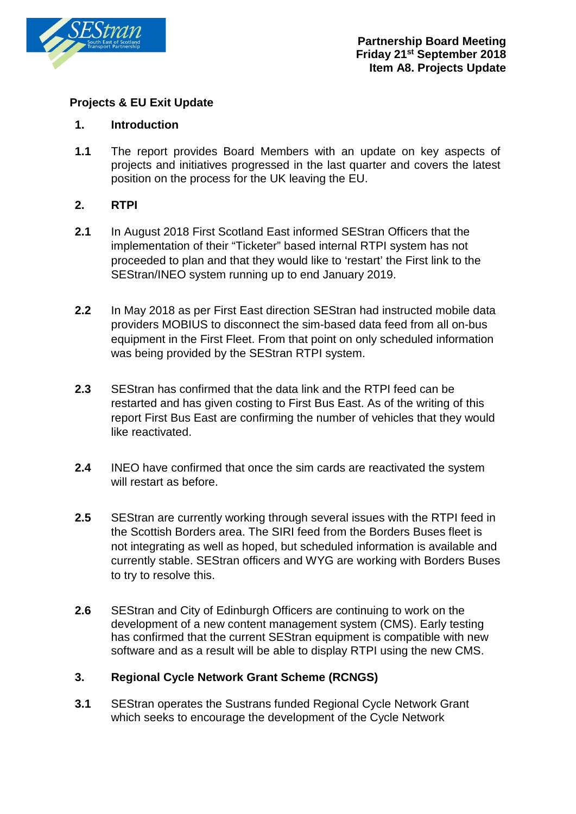

### **Projects & EU Exit Update**

#### **1. Introduction**

**1.1** The report provides Board Members with an update on key aspects of projects and initiatives progressed in the last quarter and covers the latest position on the process for the UK leaving the EU.

### **2. RTPI**

- **2.1** In August 2018 First Scotland East informed SEStran Officers that the implementation of their "Ticketer" based internal RTPI system has not proceeded to plan and that they would like to 'restart' the First link to the SEStran/INEO system running up to end January 2019.
- **2.2** In May 2018 as per First East direction SEStran had instructed mobile data providers MOBIUS to disconnect the sim-based data feed from all on-bus equipment in the First Fleet. From that point on only scheduled information was being provided by the SEStran RTPI system.
- **2.3** SEStran has confirmed that the data link and the RTPI feed can be restarted and has given costing to First Bus East. As of the writing of this report First Bus East are confirming the number of vehicles that they would like reactivated.
- **2.4** INEO have confirmed that once the sim cards are reactivated the system will restart as before.
- **2.5** SEStran are currently working through several issues with the RTPI feed in the Scottish Borders area. The SIRI feed from the Borders Buses fleet is not integrating as well as hoped, but scheduled information is available and currently stable. SEStran officers and WYG are working with Borders Buses to try to resolve this.
- **2.6** SEStran and City of Edinburgh Officers are continuing to work on the development of a new content management system (CMS). Early testing has confirmed that the current SEStran equipment is compatible with new software and as a result will be able to display RTPI using the new CMS.

# **3. Regional Cycle Network Grant Scheme (RCNGS)**

**3.1** SEStran operates the Sustrans funded Regional Cycle Network Grant which seeks to encourage the development of the Cycle Network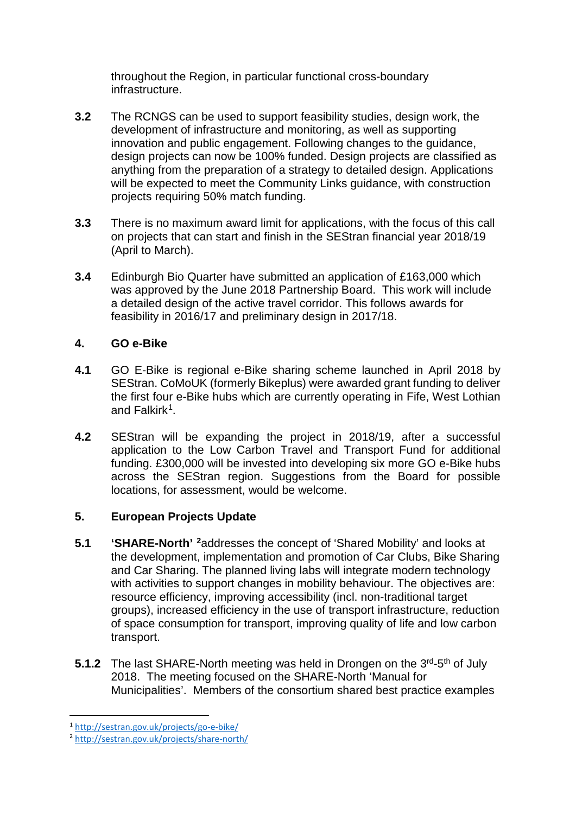throughout the Region, in particular functional cross-boundary infrastructure.

- **3.2** The RCNGS can be used to support feasibility studies, design work, the development of infrastructure and monitoring, as well as supporting innovation and public engagement. Following changes to the guidance, design projects can now be 100% funded. Design projects are classified as anything from the preparation of a strategy to detailed design. Applications will be expected to meet the Community Links guidance, with construction projects requiring 50% match funding.
- **3.3** There is no maximum award limit for applications, with the focus of this call on projects that can start and finish in the SEStran financial year 2018/19 (April to March).
- **3.4** Edinburgh Bio Quarter have submitted an application of £163,000 which was approved by the June 2018 Partnership Board. This work will include a detailed design of the active travel corridor. This follows awards for feasibility in 2016/17 and preliminary design in 2017/18.

# **4. GO e-Bike**

- **4.1** GO E-Bike is regional e-Bike sharing scheme launched in April 2018 by SEStran. CoMoUK (formerly Bikeplus) were awarded grant funding to deliver the first four e-Bike hubs which are currently operating in Fife, West Lothian and Falkirk[1](#page-1-0).
- **4.2** SEStran will be expanding the project in 2018/19, after a successful application to the Low Carbon Travel and Transport Fund for additional funding. £300,000 will be invested into developing six more GO e-Bike hubs across the SEStran region. Suggestions from the Board for possible locations, for assessment, would be welcome.

# **5. European Projects Update**

- **5.1 'SHARE-North' [2](#page-1-1)**addresses the concept of 'Shared Mobility' and looks at the development, implementation and promotion of Car Clubs, Bike Sharing and Car Sharing. The planned living labs will integrate modern technology with activities to support changes in mobility behaviour. The objectives are: resource efficiency, improving accessibility (incl. non-traditional target groups), increased efficiency in the use of transport infrastructure, reduction of space consumption for transport, improving quality of life and low carbon transport.
- **5.1.2** The last SHARE-North meeting was held in Drongen on the 3<sup>rd</sup>-5<sup>th</sup> of July 2018. The meeting focused on the SHARE-North 'Manual for Municipalities'. Members of the consortium shared best practice examples

<span id="page-1-1"></span><span id="page-1-0"></span><sup>1</sup> <http://sestran.gov.uk/projects/go-e-bike/>2 <http://sestran.gov.uk/projects/share-north/>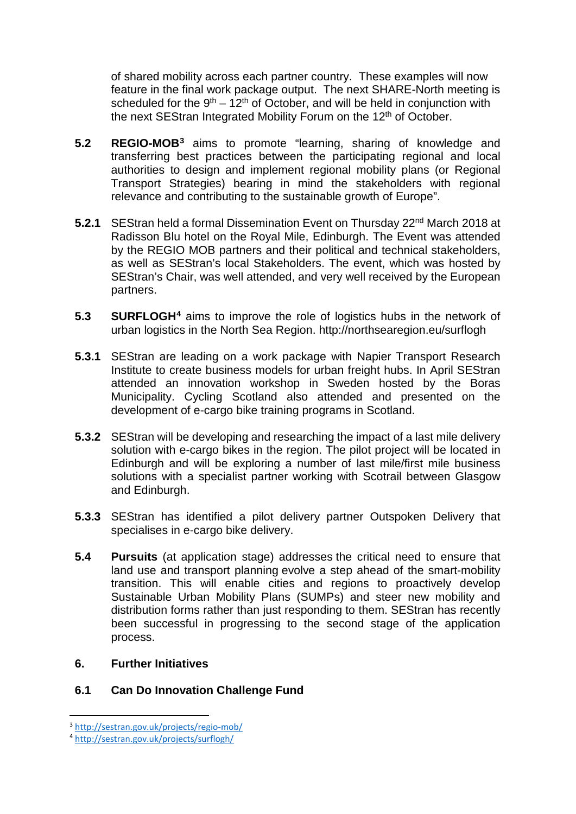of shared mobility across each partner country. These examples will now feature in the final work package output. The next SHARE-North meeting is scheduled for the  $9<sup>th</sup> - 12<sup>th</sup>$  of October, and will be held in conjunction with the next SEStran Integrated Mobility Forum on the 12<sup>th</sup> of October.

- **5.2 REGIO-MOB[3](#page-2-0)** aims to promote "learning, sharing of knowledge and transferring best practices between the participating regional and local authorities to design and implement regional mobility plans (or Regional Transport Strategies) bearing in mind the stakeholders with regional relevance and contributing to the sustainable growth of Europe".
- **5.2.1** SEStran held a formal Dissemination Event on Thursday 22<sup>nd</sup> March 2018 at Radisson Blu hotel on the Royal Mile, Edinburgh. The Event was attended by the REGIO MOB partners and their political and technical stakeholders, as well as SEStran's local Stakeholders. The event, which was hosted by SEStran's Chair, was well attended, and very well received by the European partners.
- **5.3 SURFLOGH[4](#page-2-1)** aims to improve the role of logistics hubs in the network of urban logistics in the North Sea Region. http://northsearegion.eu/surflogh
- **5.3.1** SEStran are leading on a work package with Napier Transport Research Institute to create business models for urban freight hubs. In April SEStran attended an innovation workshop in Sweden hosted by the Boras Municipality. Cycling Scotland also attended and presented on the development of e-cargo bike training programs in Scotland.
- **5.3.2** SEStran will be developing and researching the impact of a last mile delivery solution with e-cargo bikes in the region. The pilot project will be located in Edinburgh and will be exploring a number of last mile/first mile business solutions with a specialist partner working with Scotrail between Glasgow and Edinburgh.
- **5.3.3** SEStran has identified a pilot delivery partner Outspoken Delivery that specialises in e-cargo bike delivery.
- **5.4 Pursuits** (at application stage) addresses the critical need to ensure that land use and transport planning evolve a step ahead of the smart-mobility transition. This will enable cities and regions to proactively develop Sustainable Urban Mobility Plans (SUMPs) and steer new mobility and distribution forms rather than just responding to them. SEStran has recently been successful in progressing to the second stage of the application process.

#### **6. Further Initiatives**

# **6.1 Can Do Innovation Challenge Fund**

<span id="page-2-0"></span> <sup>3</sup> <http://sestran.gov.uk/projects/regio-mob/>

<span id="page-2-1"></span><sup>4</sup> <http://sestran.gov.uk/projects/surflogh/>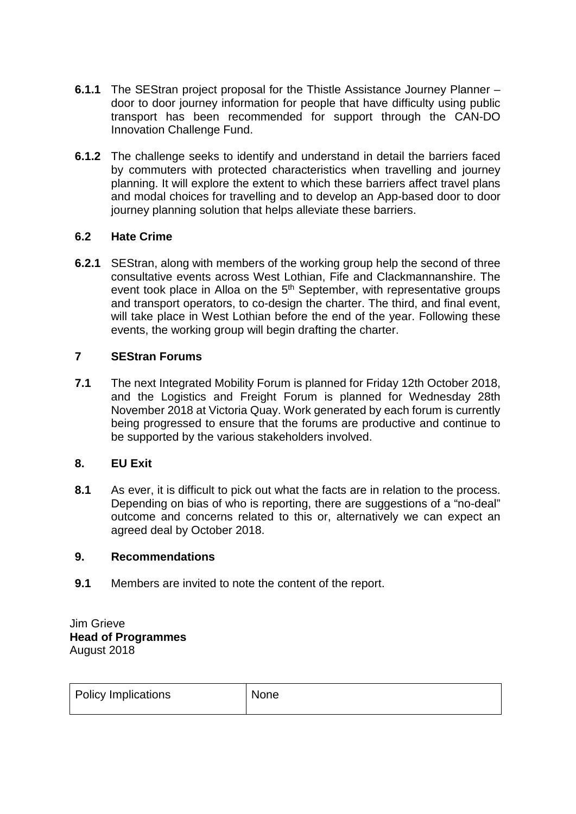- **6.1.1** The SEStran project proposal for the Thistle Assistance Journey Planner door to door journey information for people that have difficulty using public transport has been recommended for support through the CAN-DO Innovation Challenge Fund.
- **6.1.2** The challenge seeks to identify and understand in detail the barriers faced by commuters with protected characteristics when travelling and journey planning. It will explore the extent to which these barriers affect travel plans and modal choices for travelling and to develop an App-based door to door journey planning solution that helps alleviate these barriers.

# **6.2 Hate Crime**

**6.2.1** SEStran, along with members of the working group help the second of three consultative events across West Lothian, Fife and Clackmannanshire. The event took place in Alloa on the 5<sup>th</sup> September, with representative groups and transport operators, to co-design the charter. The third, and final event, will take place in West Lothian before the end of the year. Following these events, the working group will begin drafting the charter.

### **7 SEStran Forums**

**7.1** The next Integrated Mobility Forum is planned for Friday 12th October 2018, and the Logistics and Freight Forum is planned for Wednesday 28th November 2018 at Victoria Quay. Work generated by each forum is currently being progressed to ensure that the forums are productive and continue to be supported by the various stakeholders involved.

# **8. EU Exit**

**8.1** As ever, it is difficult to pick out what the facts are in relation to the process. Depending on bias of who is reporting, there are suggestions of a "no-deal" outcome and concerns related to this or, alternatively we can expect an agreed deal by October 2018.

#### **9. Recommendations**

**9.1** Members are invited to note the content of the report.

Jim Grieve **Head of Programmes** August 2018

| <b>Policy Implications</b> | None |
|----------------------------|------|
|                            |      |